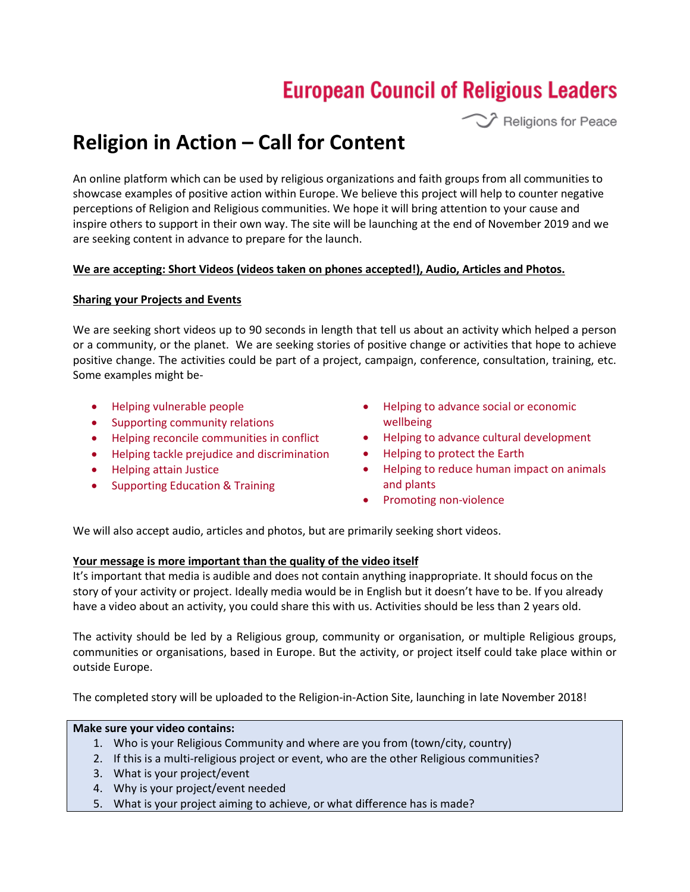# **European Council of Religious Leaders**

 $\hat{Z}$  Religions for Peace

# **Religion in Action – Call for Content**

An online platform which can be used by religious organizations and faith groups from all communities to showcase examples of positive action within Europe. We believe this project will help to counter negative perceptions of Religion and Religious communities. We hope it will bring attention to your cause and inspire others to support in their own way. The site will be launching at the end of November 2019 and we are seeking content in advance to prepare for the launch.

## **We are accepting: Short Videos (videos taken on phones accepted!), Audio, Articles and Photos.**

## **Sharing your Projects and Events**

We are seeking short videos up to 90 seconds in length that tell us about an activity which helped a person or a community, or the planet. We are seeking stories of positive change or activities that hope to achieve positive change. The activities could be part of a project, campaign, conference, consultation, training, etc. Some examples might be-

- Helping vulnerable people
- Supporting community relations
- Helping reconcile communities in conflict
- Helping tackle prejudice and discrimination
- Helping attain Justice
- Supporting Education & Training
- Helping to advance social or economic wellbeing
- Helping to advance cultural development
- Helping to protect the Earth
- Helping to reduce human impact on animals and plants
- Promoting non-violence

We will also accept audio, articles and photos, but are primarily seeking short videos.

## **Your message is more important than the quality of the video itself**

It's important that media is audible and does not contain anything inappropriate. It should focus on the story of your activity or project. Ideally media would be in English but it doesn't have to be. If you already have a video about an activity, you could share this with us. Activities should be less than 2 years old.

The activity should be led by a Religious group, community or organisation, or multiple Religious groups, communities or organisations, based in Europe. But the activity, or project itself could take place within or outside Europe.

The completed story will be uploaded to the Religion-in-Action Site, launching in late November 2018!

## **Make sure your video contains:**

- 1. Who is your Religious Community and where are you from (town/city, country)
- 2. If this is a multi-religious project or event, who are the other Religious communities?
- 3. What is your project/event
- 4. Why is your project/event needed
- 5. What is your project aiming to achieve, or what difference has is made?